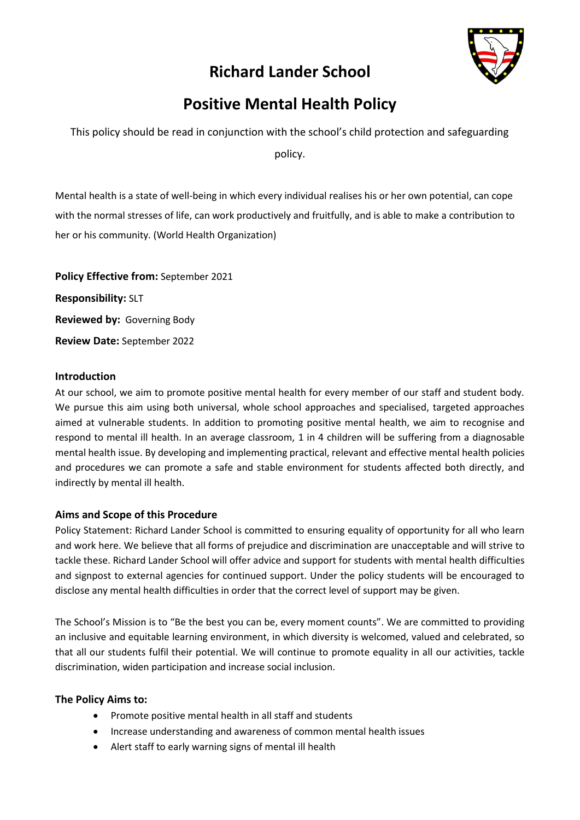# **Richard Lander School**



# **Positive Mental Health Policy**

This policy should be read in conjunction with the school's child protection and safeguarding

policy.

Mental health is a state of well-being in which every individual realises his or her own potential, can cope with the normal stresses of life, can work productively and fruitfully, and is able to make a contribution to her or his community. (World Health Organization)

**Policy Effective from:** September 2021 **Responsibility:** SLT **Reviewed by:** Governing Body **Review Date:** September 2022

### **Introduction**

At our school, we aim to promote positive mental health for every member of our staff and student body. We pursue this aim using both universal, whole school approaches and specialised, targeted approaches aimed at vulnerable students. In addition to promoting positive mental health, we aim to recognise and respond to mental ill health. In an average classroom, 1 in 4 children will be suffering from a diagnosable mental health issue. By developing and implementing practical, relevant and effective mental health policies and procedures we can promote a safe and stable environment for students affected both directly, and indirectly by mental ill health.

### **Aims and Scope of this Procedure**

Policy Statement: Richard Lander School is committed to ensuring equality of opportunity for all who learn and work here. We believe that all forms of prejudice and discrimination are unacceptable and will strive to tackle these. Richard Lander School will offer advice and support for students with mental health difficulties and signpost to external agencies for continued support. Under the policy students will be encouraged to disclose any mental health difficulties in order that the correct level of support may be given.

The School's Mission is to "Be the best you can be, every moment counts". We are committed to providing an inclusive and equitable learning environment, in which diversity is welcomed, valued and celebrated, so that all our students fulfil their potential. We will continue to promote equality in all our activities, tackle discrimination, widen participation and increase social inclusion.

### **The Policy Aims to:**

- Promote positive mental health in all staff and students
- Increase understanding and awareness of common mental health issues
- Alert staff to early warning signs of mental ill health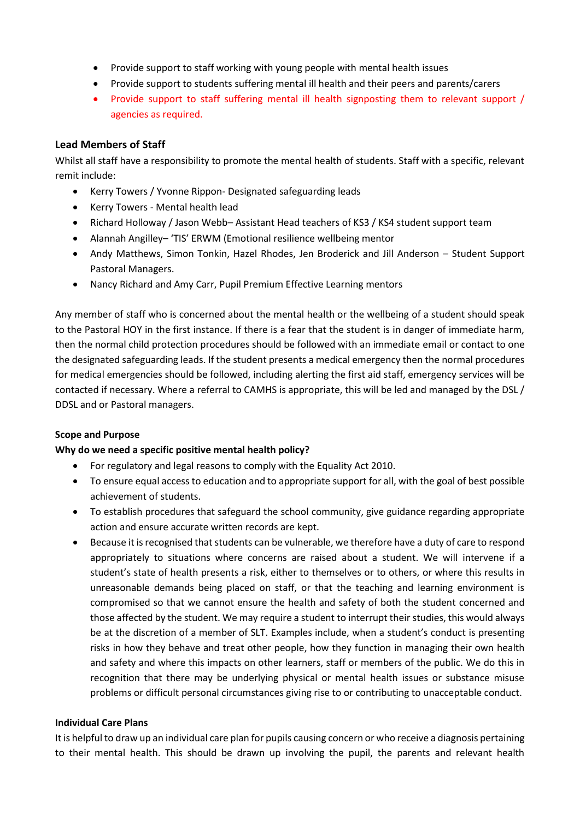- Provide support to staff working with young people with mental health issues
- Provide support to students suffering mental ill health and their peers and parents/carers
- Provide support to staff suffering mental ill health signposting them to relevant support / agencies as required.

### **Lead Members of Staff**

Whilst all staff have a responsibility to promote the mental health of students. Staff with a specific, relevant remit include:

- Kerry Towers / Yvonne Rippon- Designated safeguarding leads
- Kerry Towers Mental health lead
- Richard Holloway / Jason Webb– Assistant Head teachers of KS3 / KS4 student support team
- Alannah Angilley– 'TIS' ERWM (Emotional resilience wellbeing mentor
- Andy Matthews, Simon Tonkin, Hazel Rhodes, Jen Broderick and Jill Anderson Student Support Pastoral Managers.
- Nancy Richard and Amy Carr, Pupil Premium Effective Learning mentors

Any member of staff who is concerned about the mental health or the wellbeing of a student should speak to the Pastoral HOY in the first instance. If there is a fear that the student is in danger of immediate harm, then the normal child protection procedures should be followed with an immediate email or contact to one the designated safeguarding leads. If the student presents a medical emergency then the normal procedures for medical emergencies should be followed, including alerting the first aid staff, emergency services will be contacted if necessary. Where a referral to CAMHS is appropriate, this will be led and managed by the DSL / DDSL and or Pastoral managers.

### **Scope and Purpose**

### **Why do we need a specific positive mental health policy?**

- For regulatory and legal reasons to comply with the Equality Act 2010.
- To ensure equal access to education and to appropriate support for all, with the goal of best possible achievement of students.
- To establish procedures that safeguard the school community, give guidance regarding appropriate action and ensure accurate written records are kept.
- Because it is recognised that students can be vulnerable, we therefore have a duty of care to respond appropriately to situations where concerns are raised about a student. We will intervene if a student's state of health presents a risk, either to themselves or to others, or where this results in unreasonable demands being placed on staff, or that the teaching and learning environment is compromised so that we cannot ensure the health and safety of both the student concerned and those affected by the student. We may require a student to interrupt their studies, this would always be at the discretion of a member of SLT. Examples include, when a student's conduct is presenting risks in how they behave and treat other people, how they function in managing their own health and safety and where this impacts on other learners, staff or members of the public. We do this in recognition that there may be underlying physical or mental health issues or substance misuse problems or difficult personal circumstances giving rise to or contributing to unacceptable conduct.

### **Individual Care Plans**

It is helpful to draw up an individual care plan for pupils causing concern or who receive a diagnosis pertaining to their mental health. This should be drawn up involving the pupil, the parents and relevant health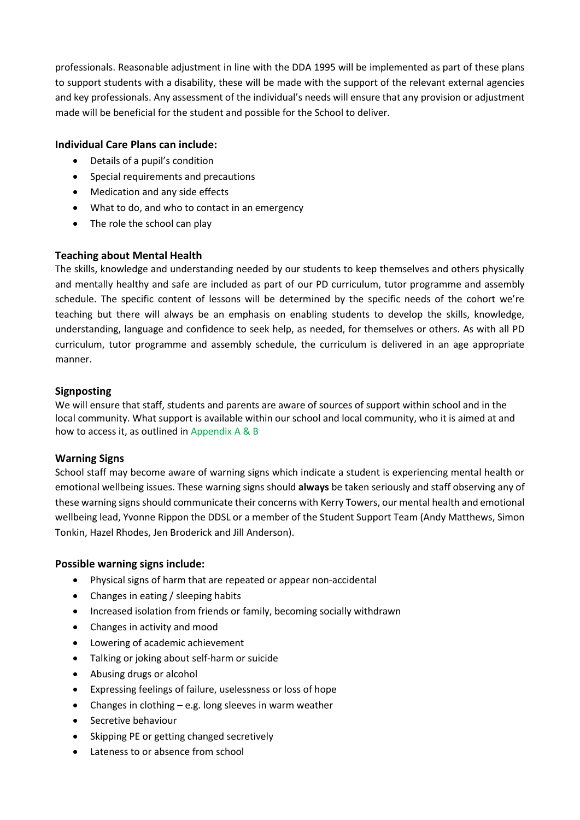professionals. Reasonable adjustment in line with the DDA 1995 will be implemented as part of these plans to support students with a disability, these will be made with the support of the relevant external agencies and key professionals. Any assessment of the individual's needs will ensure that any provision or adjustment made will be beneficial for the student and possible for the School to deliver.

# **Individual Care Plans can include:**

- Details of a pupil's condition
- Special requirements and precautions
- Medication and any side effects
- What to do, and who to contact in an emergency
- The role the school can play

### **Teaching about Mental Health**

The skills, knowledge and understanding needed by our students to keep themselves and others physically and mentally healthy and safe are included as part of our PD curriculum, tutor programme and assembly schedule. The specific content of lessons will be determined by the specific needs of the cohort we're teaching but there will always be an emphasis on enabling students to develop the skills, knowledge, understanding, language and confidence to seek help, as needed, for themselves or others. As with all PD curriculum, tutor programme and assembly schedule, the curriculum is delivered in an age appropriate manner.

### **Signposting**

We will ensure that staff, students and parents are aware of sources of support within school and in the local community. What support is available within our school and local community, who it is aimed at and how to access it, as outlined in Appendix A & B

### **Warning Signs**

School staff may become aware of warning signs which indicate a student is experiencing mental health or emotional wellbeing issues. These warning signs should **always** be taken seriously and staff observing any of these warning signs should communicate their concerns with Kerry Towers, our mental health and emotional wellbeing lead, Yvonne Rippon the DDSL or a member of the Student Support Team (Andy Matthews, Simon Tonkin, Hazel Rhodes, Jen Broderick and Jill Anderson).

### **Possible warning signs include:**

- Physical signs of harm that are repeated or appear non-accidental
- Changes in eating / sleeping habits
- Increased isolation from friends or family, becoming socially withdrawn
- Changes in activity and mood
- Lowering of academic achievement
- Talking or joking about self-harm or suicide
- Abusing drugs or alcohol
- Expressing feelings of failure, uselessness or loss of hope
- Changes in clothing e.g. long sleeves in warm weather
- Secretive behaviour
- Skipping PE or getting changed secretively
- Lateness to or absence from school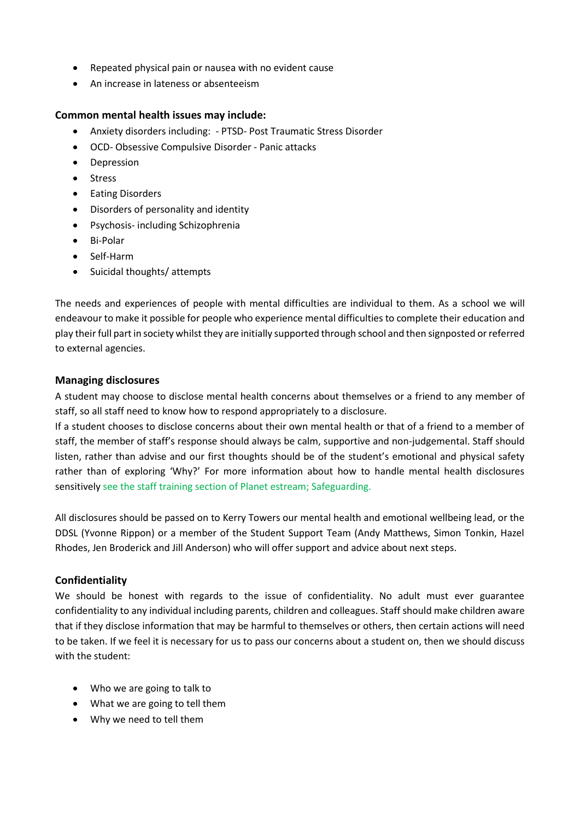- Repeated physical pain or nausea with no evident cause
- An increase in lateness or absenteeism

#### **Common mental health issues may include:**

- Anxiety disorders including: PTSD- Post Traumatic Stress Disorder
- OCD- Obsessive Compulsive Disorder Panic attacks
- Depression
- Stress
- Eating Disorders
- Disorders of personality and identity
- Psychosis- including Schizophrenia
- Bi-Polar
- Self-Harm
- Suicidal thoughts/ attempts

The needs and experiences of people with mental difficulties are individual to them. As a school we will endeavour to make it possible for people who experience mental difficulties to complete their education and play their full part in society whilst they are initially supported through school and then signposted or referred to external agencies.

#### **Managing disclosures**

A student may choose to disclose mental health concerns about themselves or a friend to any member of staff, so all staff need to know how to respond appropriately to a disclosure.

If a student chooses to disclose concerns about their own mental health or that of a friend to a member of staff, the member of staff's response should always be calm, supportive and non-judgemental. Staff should listen, rather than advise and our first thoughts should be of the student's emotional and physical safety rather than of exploring 'Why?' For more information about how to handle mental health disclosures sensitively see the staff training section of Planet estream; Safeguarding.

All disclosures should be passed on to Kerry Towers our mental health and emotional wellbeing lead, or the DDSL (Yvonne Rippon) or a member of the Student Support Team (Andy Matthews, Simon Tonkin, Hazel Rhodes, Jen Broderick and Jill Anderson) who will offer support and advice about next steps.

#### **Confidentiality**

We should be honest with regards to the issue of confidentiality. No adult must ever guarantee confidentiality to any individual including parents, children and colleagues. Staff should make children aware that if they disclose information that may be harmful to themselves or others, then certain actions will need to be taken. If we feel it is necessary for us to pass our concerns about a student on, then we should discuss with the student:

- Who we are going to talk to
- What we are going to tell them
- Why we need to tell them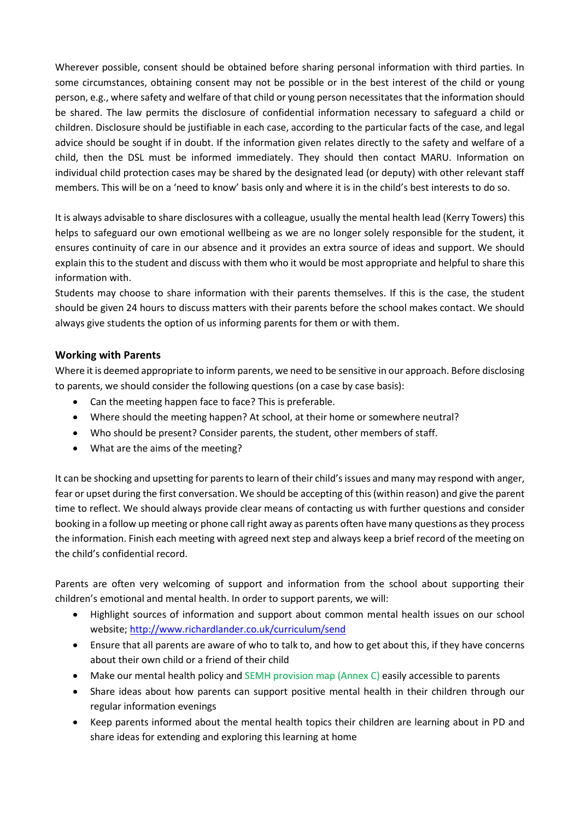Wherever possible, consent should be obtained before sharing personal information with third parties. In some circumstances, obtaining consent may not be possible or in the best interest of the child or young person, e.g., where safety and welfare of that child or young person necessitates that the information should be shared. The law permits the disclosure of confidential information necessary to safeguard a child or children. Disclosure should be justifiable in each case, according to the particular facts of the case, and legal advice should be sought if in doubt. If the information given relates directly to the safety and welfare of a child, then the DSL must be informed immediately. They should then contact MARU. Information on individual child protection cases may be shared by the designated lead (or deputy) with other relevant staff members. This will be on a 'need to know' basis only and where it is in the child's best interests to do so.

It is always advisable to share disclosures with a colleague, usually the mental health lead (Kerry Towers) this helps to safeguard our own emotional wellbeing as we are no longer solely responsible for the student, it ensures continuity of care in our absence and it provides an extra source of ideas and support. We should explain this to the student and discuss with them who it would be most appropriate and helpful to share this information with.

Students may choose to share information with their parents themselves. If this is the case, the student should be given 24 hours to discuss matters with their parents before the school makes contact. We should always give students the option of us informing parents for them or with them.

# **Working with Parents**

Where it is deemed appropriate to inform parents, we need to be sensitive in our approach. Before disclosing to parents, we should consider the following questions (on a case by case basis):

- Can the meeting happen face to face? This is preferable.
- Where should the meeting happen? At school, at their home or somewhere neutral?
- Who should be present? Consider parents, the student, other members of staff.
- What are the aims of the meeting?

It can be shocking and upsetting for parents to learn of their child's issues and many may respond with anger, fear or upset during the first conversation. We should be accepting of this (within reason) and give the parent time to reflect. We should always provide clear means of contacting us with further questions and consider booking in a follow up meeting or phone call right away as parents often have many questions as they process the information. Finish each meeting with agreed next step and always keep a brief record of the meeting on the child's confidential record.

Parents are often very welcoming of support and information from the school about supporting their children's emotional and mental health. In order to support parents, we will:

- Highlight sources of information and support about common mental health issues on our school website;<http://www.richardlander.co.uk/curriculum/send>
- Ensure that all parents are aware of who to talk to, and how to get about this, if they have concerns about their own child or a friend of their child
- Make our mental health policy and SEMH provision map (Annex C) easily accessible to parents
- Share ideas about how parents can support positive mental health in their children through our regular information evenings
- Keep parents informed about the mental health topics their children are learning about in PD and share ideas for extending and exploring this learning at home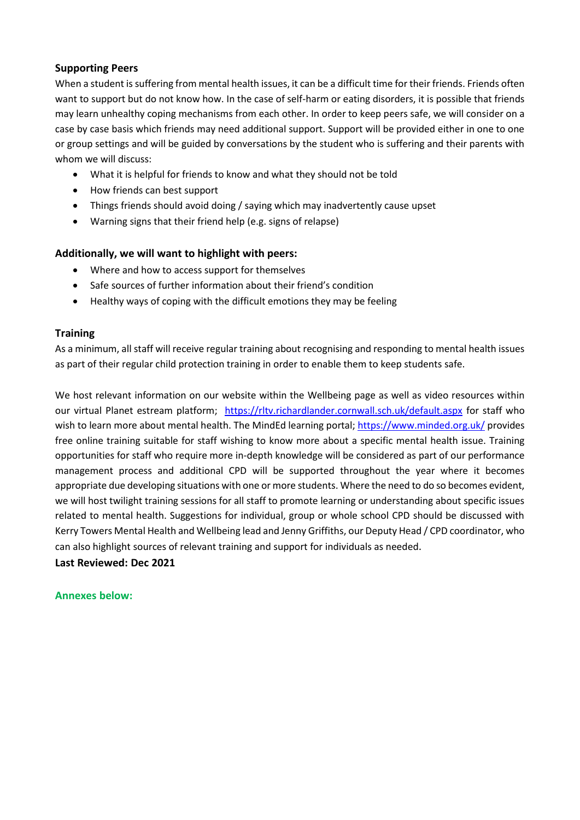### **Supporting Peers**

When a student is suffering from mental health issues, it can be a difficult time for their friends. Friends often want to support but do not know how. In the case of self-harm or eating disorders, it is possible that friends may learn unhealthy coping mechanisms from each other. In order to keep peers safe, we will consider on a case by case basis which friends may need additional support. Support will be provided either in one to one or group settings and will be guided by conversations by the student who is suffering and their parents with whom we will discuss:

- What it is helpful for friends to know and what they should not be told
- How friends can best support
- Things friends should avoid doing / saying which may inadvertently cause upset
- Warning signs that their friend help (e.g. signs of relapse)

# **Additionally, we will want to highlight with peers:**

- Where and how to access support for themselves
- Safe sources of further information about their friend's condition
- Healthy ways of coping with the difficult emotions they may be feeling

### **Training**

As a minimum, all staff will receive regular training about recognising and responding to mental health issues as part of their regular child protection training in order to enable them to keep students safe.

We host relevant information on our website within the Wellbeing page as well as video resources within our virtual Planet estream platform; <https://rltv.richardlander.cornwall.sch.uk/default.aspx> for staff who wish to learn more about mental health. The MindEd learning portal;<https://www.minded.org.uk/> provides free online training suitable for staff wishing to know more about a specific mental health issue. Training opportunities for staff who require more in-depth knowledge will be considered as part of our performance management process and additional CPD will be supported throughout the year where it becomes appropriate due developing situations with one or more students. Where the need to do so becomes evident, we will host twilight training sessions for all staff to promote learning or understanding about specific issues related to mental health. Suggestions for individual, group or whole school CPD should be discussed with Kerry Towers Mental Health and Wellbeing lead and Jenny Griffiths, our Deputy Head / CPD coordinator, who can also highlight sources of relevant training and support for individuals as needed.

**Last Reviewed: Dec 2021**

### **Annexes below:**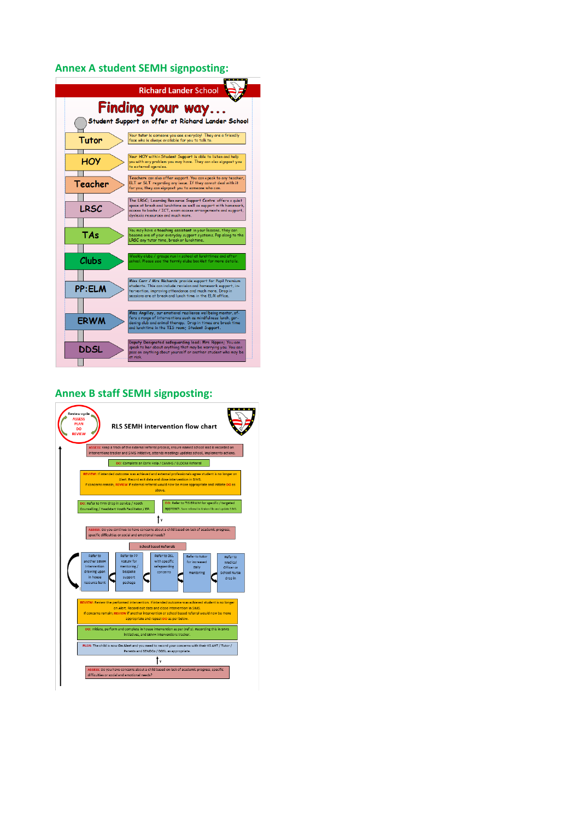#### **Annex A student SEMH signposting:**



#### **Annex B staff SEMH signposting:**